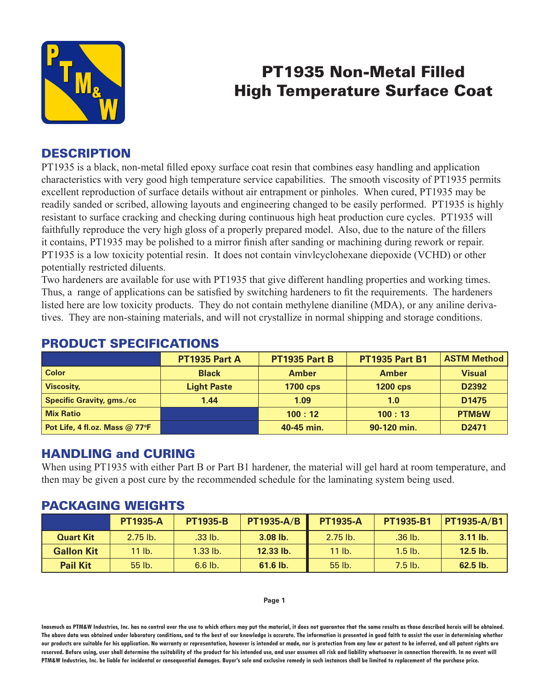

# PT1935 Non-Metal Filled High Temperature Surface Coat

## **DESCRIPTION**

PT1935 is a black, non-metal filled epoxy surface coat resin that combines easy handling and application characteristics with very good high temperature service capabilities. The smooth viscosity of PT1935 permits excellent reproduction of surface details without air entrapment or pinholes. When cured, PT1935 may be readily sanded or scribed, allowing layouts and engineering changed to be easily performed. PT1935 is highly resistant to surface cracking and checking during continuous high heat production cure cycles. PT1935 will faithfully reproduce the very high gloss of a properly prepared model. Also, due to the nature of the fillers it contains, PT1935 may be polished to a mirror finish after sanding or machining during rework or repair. PT1935 is a low toxicity potential resin. It does not contain vinvlcyclohexane diepoxide (VCHD) or other potentially restricted diluents.

Two hardeners are available for use with PT1935 that give different handling properties and working times. Thus, a range of applications can be satisfied by switching hardeners to fit the requirements. The hardeners listed here are low toxicity products. They do not contain methylene dianiline (MDA), or any aniline derivatives. They are non-staining materials, and will not crystallize in normal shipping and storage conditions.

|                                  | PT1935 Part A      | PT1935 Part B   | <b>PT1935 Part B1</b> | <b>ASTM Method</b> |
|----------------------------------|--------------------|-----------------|-----------------------|--------------------|
| <b>Color</b>                     | <b>Black</b>       | <b>Amber</b>    | <b>Amber</b>          | <b>Visual</b>      |
| <b>Viscosity,</b>                | <b>Light Paste</b> | <b>1700 cps</b> | <b>1200 cps</b>       | D2392              |
| <b>Specific Gravity, gms./cc</b> | 1.44               | 1.09            | 1.0                   | D <sub>1475</sub>  |
| <b>Mix Ratio</b>                 |                    | 100:12          | 100:13                | <b>PTM&amp;W</b>   |
| Pot Life, 4 fl.oz. Mass @ 77°F   |                    | 40-45 min.      | 90-120 min.           | D <sub>2471</sub>  |

## PRODUCT SPECIFICATIONS

#### HANDLING and CURING

When using PT1935 with either Part B or Part B1 hardener, the material will gel hard at room temperature, and then may be given a post cure by the recommended schedule for the laminating system being used.

#### PACKAGING WEIGHTS

|                   | <b>PT1935-A</b> | <b>PT1935-B</b> | <b>PT1935-A/B</b> | <b>PT1935-A</b> | PT1935-B1 | <b>PT1935-A/B1</b> |
|-------------------|-----------------|-----------------|-------------------|-----------------|-----------|--------------------|
| <b>Quart Kit</b>  | $2.75$ lb.      | .33 lb.         | $3.08$ lb.        | $2.75$ lb.      | $.36$ lb. | $3.11$ lb.         |
| <b>Gallon Kit</b> | 11 lb.          | $1.33$ lb.      | 12.33 lb.         | $11$ lb.        | $1.5$ lb. | $12.5$ lb.         |
| <b>Pail Kit</b>   | $55$ lb.        | $6.6$ lb.       | 61.6 lb.          | 55 lb.          | $7.5$ lb. | $62.5$ lb.         |

#### **Page 1**

**Inasmuch as PTM&W Industries, Inc. has no control over the use to which others may put the material, it does not guarantee that the same results as those described hereis will be obtained. The above data was obtained under laboratory conditions, and to the best of our knowledge is accurate. The information is presented in good faith to assist the user in determining whether our products are suitable for his application. No warranty or representation, however is intended or made, nor is protection from any law or patent to be inferred, and all patent rights are**  reserved. Before using, user shall determine the suitability of the product for his intended use, and user assumes all risk and liability whatsoever in connection therewith. In no event will **PTM&W Industries, Inc. be liable for incidental or consequential damages. Buyer's sole and exclusive remedy in such instances shall be limited to replacement of the purchase price.**